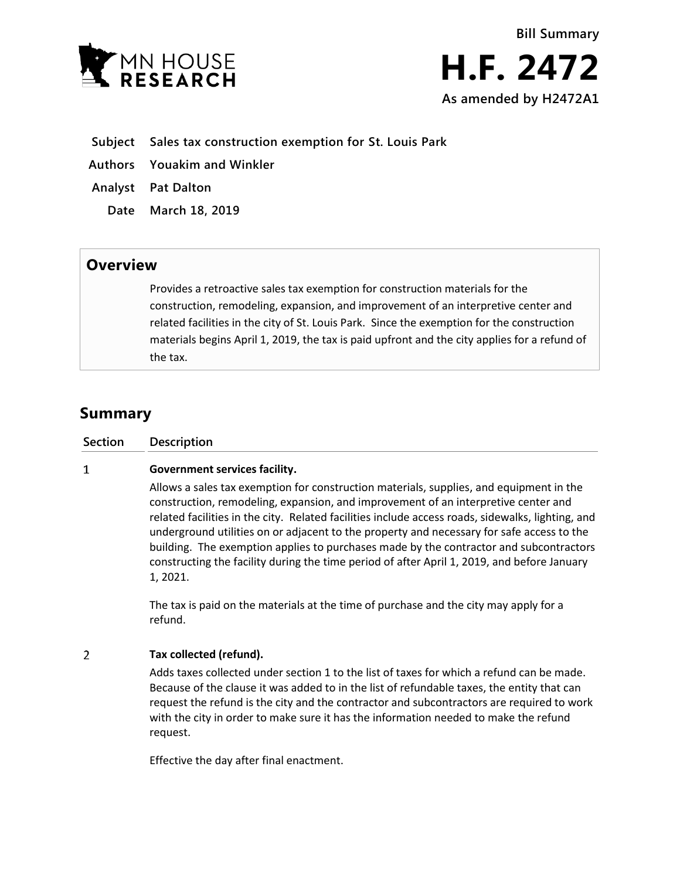

- **Subject Sales tax construction exemption for St. Louis Park**
- **Authors Youakim and Winkler**
- **Analyst Pat Dalton**
	- **Date March 18, 2019**

## **Overview**

Provides a retroactive sales tax exemption for construction materials for the construction, remodeling, expansion, and improvement of an interpretive center and related facilities in the city of St. Louis Park. Since the exemption for the construction materials begins April 1, 2019, the tax is paid upfront and the city applies for a refund of the tax.

## **Summary**

## $\mathbf{1}$ **Government services facility.**

Allows a sales tax exemption for construction materials, supplies, and equipment in the construction, remodeling, expansion, and improvement of an interpretive center and related facilities in the city. Related facilities include access roads, sidewalks, lighting, and underground utilities on or adjacent to the property and necessary for safe access to the building. The exemption applies to purchases made by the contractor and subcontractors constructing the facility during the time period of after April 1, 2019, and before January 1, 2021.

The tax is paid on the materials at the time of purchase and the city may apply for a refund.

## $\overline{2}$ **Tax collected (refund).**

Adds taxes collected under section 1 to the list of taxes for which a refund can be made. Because of the clause it was added to in the list of refundable taxes, the entity that can request the refund is the city and the contractor and subcontractors are required to work with the city in order to make sure it has the information needed to make the refund request.

Effective the day after final enactment.